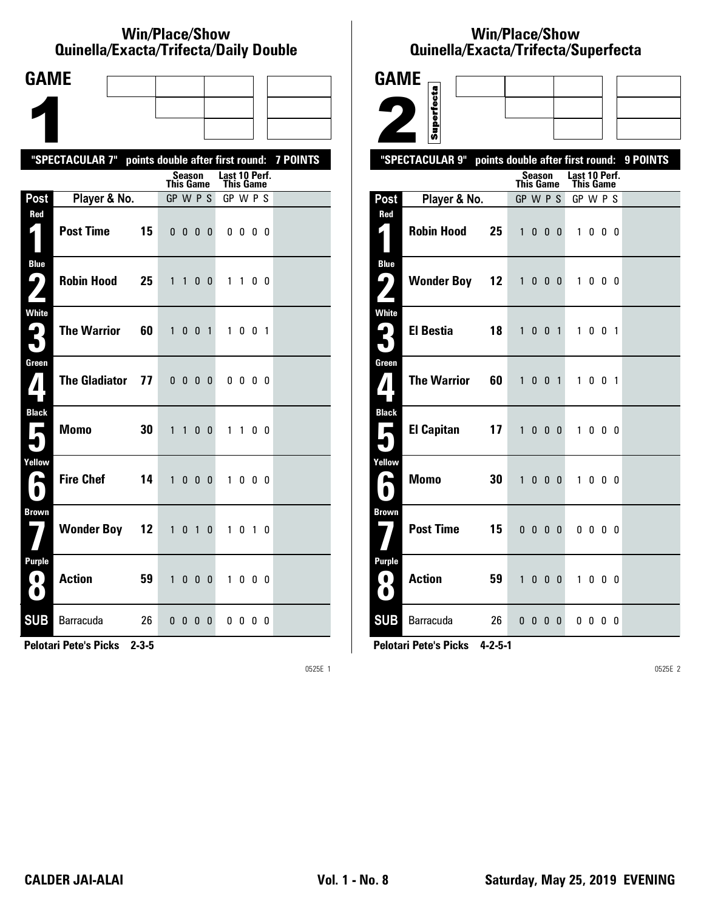#### **Win/Place/Show Qui nel la/Exacta/Tri fecta/Daily Dou ble**

| <b>GAME</b>                                     |                                                           |                                                   |                            |                   |  |
|-------------------------------------------------|-----------------------------------------------------------|---------------------------------------------------|----------------------------|-------------------|--|
|                                                 |                                                           |                                                   |                            |                   |  |
|                                                 |                                                           |                                                   |                            |                   |  |
|                                                 | "SPECTACULAR 7" points double after first round: 7 POINTS |                                                   |                            |                   |  |
|                                                 |                                                           | Season<br><b>This Game</b>                        | Last 10 Perf.<br>This Game |                   |  |
| Post                                            | Player & No.                                              | GP W P S                                          | GP W P S                   |                   |  |
| Red<br>$\vert \vert$                            | <b>Post Time</b><br>15                                    | $0\quad 0\quad 0$                                 | 0<br>$0\,0\,0\,0$          |                   |  |
| <b>Blue</b><br>( فا                             | <b>Robin Hood</b><br>25                                   | 1<br>$\mathbf{1}$<br>0<br>$\mathbf{0}$            | $1\quad1$                  | 0 <sub>0</sub>    |  |
| White<br>3                                      | <b>The Warrior</b><br>60                                  | $\mathbf{1}$<br>0 <sub>0</sub><br>$\overline{1}$  | 1                          | $0 \t0 \t1$       |  |
| Green<br>7                                      | <b>The Gladiator</b><br>77                                | $0\quad 0\quad 0\quad 0$                          | 0000                       |                   |  |
| <b>Black</b><br>$\mathbf{r}$                    | 30<br><b>Momo</b>                                         | $\mathbf{1}$<br>$\mathbf{1}$<br>0<br>$\mathbf{0}$ | $1\quad1$                  | 00                |  |
| Yellow<br>►                                     | <b>Fire Chef</b><br>14                                    | $\mathbf{1}$<br>0<br>$\mathbf{0}$                 | $\mathbf{0}$<br>1          | $0\quad 0\quad 0$ |  |
| <b>Brown</b>                                    | <b>Wonder Boy 12</b>                                      | $\mathbf{1}$<br>0<br>$\overline{1}$               | 0<br>1                     | 0 1 0             |  |
| <b>Purple</b><br>$\left( 0\right)$<br>$\bullet$ | <b>Action</b><br>59                                       | $\mathbf{1}$<br>$0\quad 0\quad 0$                 | 1000                       |                   |  |
| <b>SUB</b>                                      | Barracuda<br>26                                           | 0 <sub>0</sub><br>$\mathbf{0}$                    | $0\,0\,0\,0$<br>$\bf{0}$   |                   |  |

**Pelotari Pete's Picks 2-3-5**

0525E 1

# **Win/Place/Show Qui nel la/Exacta/Tri fecta/Super fecta**

| <b>GAME</b>                            |                      |    |                                  |                          |                   |                        |                                   |                         |  |          |
|----------------------------------------|----------------------|----|----------------------------------|--------------------------|-------------------|------------------------|-----------------------------------|-------------------------|--|----------|
|                                        |                      |    |                                  |                          |                   |                        |                                   |                         |  |          |
|                                        | Superfecta           |    |                                  |                          |                   |                        |                                   |                         |  |          |
|                                        | "SPECTACULAR 9"      |    | points double after first round: |                          |                   |                        |                                   |                         |  | 9 POINTS |
|                                        |                      |    | <b>This Game</b>                 | <b>Season</b>            |                   |                        | Last 10 Perf.<br><b>This Game</b> |                         |  |          |
| Post                                   | Player & No.         |    | GP W P S                         |                          |                   |                        | GP W P S                          |                         |  |          |
| Red                                    |                      |    |                                  |                          |                   |                        |                                   |                         |  |          |
| 4.                                     | <b>Robin Hood</b>    | 25 | $\mathbf{1}$                     |                          | $0\quad 0\quad 0$ |                        |                                   | 1000                    |  |          |
| <b>Blue</b><br>ر ما                    | <b>Wonder Boy 12</b> |    | $\mathbf{1}$                     |                          |                   | $0\quad 0\quad 0\quad$ | $\mathbf{1}$                      | $0\quad 0\quad 0$       |  |          |
|                                        |                      |    |                                  |                          |                   |                        |                                   |                         |  |          |
| <b>White</b><br>$\mathbf{G}_\parallel$ | <b>El Bestia</b>     | 18 |                                  | 1 0 0 1                  |                   |                        |                                   | 1 0 0 1                 |  |          |
|                                        |                      |    |                                  |                          |                   |                        |                                   |                         |  |          |
| Green                                  |                      |    |                                  |                          |                   |                        |                                   |                         |  |          |
| 7                                      | <b>The Warrior</b>   | 60 | $\mathbf{1}$                     | 0 <sub>0</sub>           |                   | $\overline{1}$         |                                   | 1 0 0 1                 |  |          |
| <b>Black</b>                           |                      |    |                                  |                          |                   |                        |                                   |                         |  |          |
| п                                      | <b>El Capitan</b>    | 17 | 1                                |                          |                   | $0\quad 0\quad 0\quad$ |                                   | 1000                    |  |          |
| Yellow                                 |                      |    |                                  |                          |                   |                        |                                   |                         |  |          |
| p.                                     | <b>Momo</b>          | 30 | $\mathbf{1}$                     | $0\quad 0\quad 0$        |                   |                        |                                   | 1000                    |  |          |
| <b>Brown</b>                           |                      |    |                                  |                          |                   |                        |                                   |                         |  |          |
|                                        | <b>Post Time</b>     | 15 |                                  | $0\,0\,0\,0$             |                   |                        |                                   | $0\,$ $0\,$ $0\,$ $0\,$ |  |          |
| <b>Purple</b>                          |                      |    |                                  |                          |                   |                        |                                   |                         |  |          |
| 0<br>$\bullet$                         | <b>Action</b>        | 59 | $\mathbf{1}$                     |                          | $0\quad 0\quad 0$ |                        | $\mathbf{1}$                      | $0\quad 0\quad 0$       |  |          |
| <b>SUB</b>                             | Barracuda            | 26 |                                  | $0\quad 0\quad 0\quad 0$ |                   |                        |                                   | $0\,0\,0\,0$            |  |          |

**Pelotari Pete's Picks 4-2-5-1**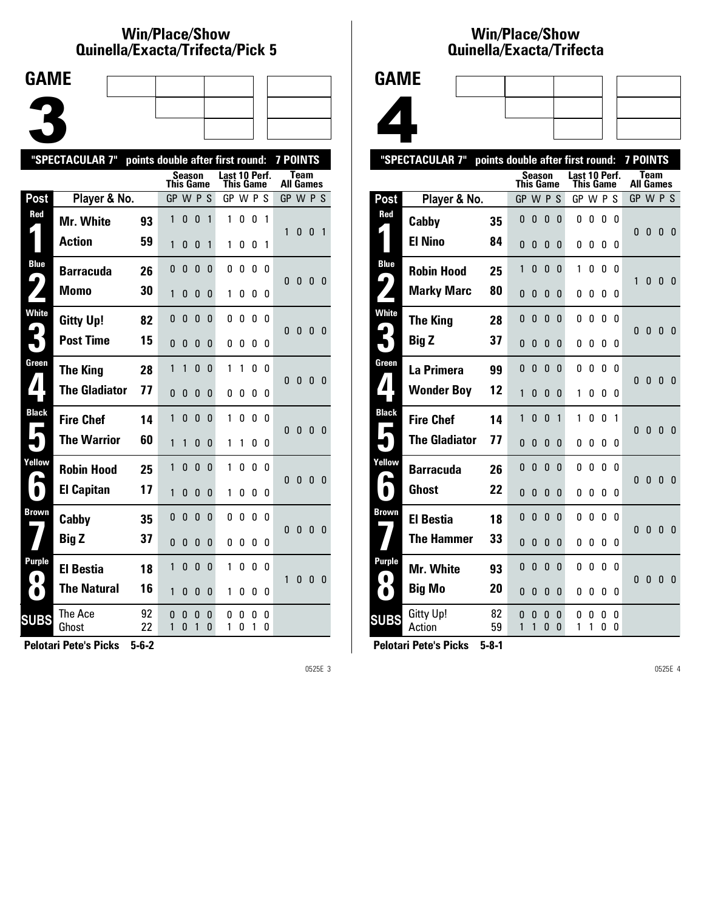### **Win/Place/Show Qui nel la/Exacta/Tri fecta/Pick 5**



|                            | "SPECTACULAR 7"      | points double after first round: |              |               |              |              |                            |        |        |        | <b>7 POINTS</b> |              |              |                |
|----------------------------|----------------------|----------------------------------|--------------|---------------|--------------|--------------|----------------------------|--------|--------|--------|-----------------|--------------|--------------|----------------|
|                            |                      |                                  | This Game    | Season        |              |              | Last 10 Perf.<br>This Game |        |        |        | All Games       | Team         |              |                |
| Post                       | Player & No.         |                                  | GP W P S     |               |              |              | GP W P S                   |        |        |        | GP W P S        |              |              |                |
| Red                        | <b>Mr. White</b>     | 93                               | 1            | 0             | 0            | 1            | 1                          | 0      | 0      | 1      |                 |              |              |                |
|                            | <b>Action</b>        | 59                               | 1            | 0             | 0            | 1            | 1                          | 0      | 0      | 1      | 1               | 0            | 0            | $\overline{1}$ |
| <b>Blue</b>                | <b>Barracuda</b>     | 26                               | 0            | 0             | 0            | 0            | 0                          | 0      | 0      | 0      | 0               | $\mathbf{0}$ |              |                |
|                            | Momo                 | 30                               | 1            | 0             | 0            | 0            | 1                          | O      | 0      | 0      |                 |              | $\mathbf{0}$ | - 0            |
| <b>White</b>               | <b>Gitty Up!</b>     | 82                               | 0            | 0             | 0            | 0            | 0                          | 0      | 0      | 0      | 0               | $\bf{0}$     | 0            | - 0            |
|                            | <b>Post Time</b>     | 15                               | 0            | 0             | 0            | 0            | 0                          | O      | 0      | 0      |                 |              |              |                |
| Green                      | <b>The King</b>      | 28                               | 1            | 1             | $\mathbf{0}$ | 0            | 1                          | 1      | 0      | 0      | 0               | $\mathbf{0}$ | $\bf{0}$     | - 0            |
|                            | <b>The Gladiator</b> | 77                               | $\mathbf{0}$ | 0             | 0            | 0            | 0                          | 0      | 0      | 0      |                 |              |              |                |
| <b>Black</b>               | <b>Fire Chef</b>     | 14                               | 1            | 0             | $\mathbf{0}$ | 0            | 1                          | 0      | 0      | n      | $\mathbf{0}$    | $\bf{0}$     | 0            | - 0            |
|                            | <b>The Warrior</b>   | 60                               | 1            | 1             | 0            | 0            | 1                          | 1      | 0      | 0      |                 |              |              |                |
| Yellow                     | <b>Robin Hood</b>    | 25                               | 1            | 0             | $\mathbf{0}$ | 0            | 1                          | 0      | 0      | 0      | 0               | 0            | 0            | - 0            |
| $\bullet$                  | <b>El Capitan</b>    | 17                               | 1            | 0             | $\mathbf{0}$ | 0            | 1                          | 0      | 0      | 0      |                 |              |              |                |
| Brown                      | Cabby                | 35                               | $\mathbf{0}$ | $\mathbf{0}$  | $\mathbf{0}$ | $\Omega$     | 0                          | 0      | 0      | 0      | 0               | 0            | 0            | - 0            |
|                            | <b>Big Z</b>         | 37                               | $\mathbf{0}$ | $\mathbf{0}$  | $\mathbf{0}$ | 0            | 0                          | 0      | 0      | 0      |                 |              |              |                |
| <b>Purple</b><br>$\bullet$ | <b>El Bestia</b>     | 18                               | 1            | 0             | $\mathbf{0}$ | $\mathbf{0}$ | 1                          | 0      | 0      | 0      | 1               | $\mathbf{0}$ | 0            | - 0            |
| $\bullet$                  | <b>The Natural</b>   | 16                               | 1            | 0             | 0            | 0            | 1                          | 0      | 0      | 0      |                 |              |              |                |
| <b>SUBS</b>                | The Ace<br>Ghost     | 92<br>22                         | 0<br>1       | 0<br>$\Omega$ | 0<br>1       | 0<br>0       | 0<br>1                     | 0<br>0 | 0<br>1 | 0<br>0 |                 |              |              |                |
|                            |                      |                                  |              |               |              |              |                            |        |        |        |                 |              |              |                |

**Pelotari Pete's Picks 5-6-2**

0525E 3

### **Win/Place/Show Qui nel la/Exacta/Tri fecta**



| <b>Season</b><br>Last 10 Perf.<br><b>Team</b><br>This Game<br>This Game<br>All Games<br>GP W P S<br>Post<br>Player & No.<br>GP W P S<br>GPWPS<br>Red<br>0<br>0<br>0<br>0<br>0<br>0<br>0<br>0<br>35<br>Cabby<br>$\Omega$<br>0<br>$\mathbf{0}$<br><b>El Nino</b><br>84<br>0<br>0<br>0<br>0<br>0<br>0<br>0<br>0<br><b>Blue</b><br>1<br>0<br>0<br>0<br>1<br>0<br>0<br>0<br><b>Robin Hood</b><br>25<br>9<br>1<br>0<br>$\mathbf{0}$ | $\overline{0}$<br>$\overline{0}$ |
|-------------------------------------------------------------------------------------------------------------------------------------------------------------------------------------------------------------------------------------------------------------------------------------------------------------------------------------------------------------------------------------------------------------------------------|----------------------------------|
|                                                                                                                                                                                                                                                                                                                                                                                                                               |                                  |
|                                                                                                                                                                                                                                                                                                                                                                                                                               |                                  |
|                                                                                                                                                                                                                                                                                                                                                                                                                               |                                  |
|                                                                                                                                                                                                                                                                                                                                                                                                                               |                                  |
|                                                                                                                                                                                                                                                                                                                                                                                                                               |                                  |
| 80<br><b>Marky Marc</b><br>0<br>0<br>0<br>0<br>0<br>0<br>0<br>0                                                                                                                                                                                                                                                                                                                                                               |                                  |
| <b>White</b><br>0<br>0<br>0<br>0<br>0<br>0<br>0<br>0<br>28<br><b>The King</b><br>0<br>0<br>$\mathbf{0}$                                                                                                                                                                                                                                                                                                                       | $\overline{0}$                   |
| <b>Big Z</b><br>37<br>0<br>0<br>0<br>0<br>0<br>0<br>0<br>0                                                                                                                                                                                                                                                                                                                                                                    |                                  |
| Green<br>0<br>$\mathbf{0}$<br>0<br>0<br>0<br>0<br>0<br>$\Omega$<br>La Primera<br>99<br>$\mathbf{0}$<br>0<br>$\mathbf{0}$                                                                                                                                                                                                                                                                                                      | 0                                |
| ◢<br>12<br><b>Wonder Boy</b><br>1<br>0<br>0<br>0<br>1<br>0<br>0<br>0                                                                                                                                                                                                                                                                                                                                                          |                                  |
| <b>Black</b><br>1<br>0<br>$\Omega$<br>0<br>0<br>1<br>1<br>1<br><b>Fire Chef</b><br>14<br>$\bf{0}$<br>0<br>$\mathbf{0}$                                                                                                                                                                                                                                                                                                        | $\mathbf{0}$                     |
| <b>The Gladiator</b><br>77<br>0<br>0<br>0<br>0<br>0<br>0<br>0<br>0                                                                                                                                                                                                                                                                                                                                                            |                                  |
| Yellow<br>0<br>0<br>0<br>0<br>0<br>0<br>0<br>0<br>26<br><b>Barracuda</b><br>0<br>$\mathbf{0}$<br>0                                                                                                                                                                                                                                                                                                                            | $\mathbf{0}$                     |
| <b>Ghost</b><br>22<br>0<br>0<br>0<br>0<br>0<br>0<br>0<br>0                                                                                                                                                                                                                                                                                                                                                                    |                                  |
| Brown<br>0<br>$\mathbf{0}$<br>0<br>0<br>0<br>0<br>0<br>0<br><b>El Bestia</b><br>18<br>0<br>0<br>$\mathbf{0}$                                                                                                                                                                                                                                                                                                                  | 0                                |
| <b>The Hammer</b><br>33<br>$\Omega$<br>0<br>0<br>0<br>0<br>0<br>0<br>0                                                                                                                                                                                                                                                                                                                                                        |                                  |
| Purple<br>0<br>0<br>0<br>0<br>0<br>0<br>0<br>0<br>Mr. White<br>93<br>0<br>0<br>$\overline{0}$<br>$\bullet$                                                                                                                                                                                                                                                                                                                    | - 0                              |
| <b>Big Mo</b><br>20<br>0<br>N<br>0<br>0<br>0<br>0<br>0<br>$\bullet$<br>0                                                                                                                                                                                                                                                                                                                                                      |                                  |
| Gitty Up!<br>82<br>0<br>0<br>0<br>0<br>0<br>0<br>0<br>0<br><b>SUBS</b><br>1<br>Action<br>59<br>1<br>0<br>0<br>1<br>1<br>0<br>0                                                                                                                                                                                                                                                                                                |                                  |

**Pelotari Pete's Picks 5-8-1**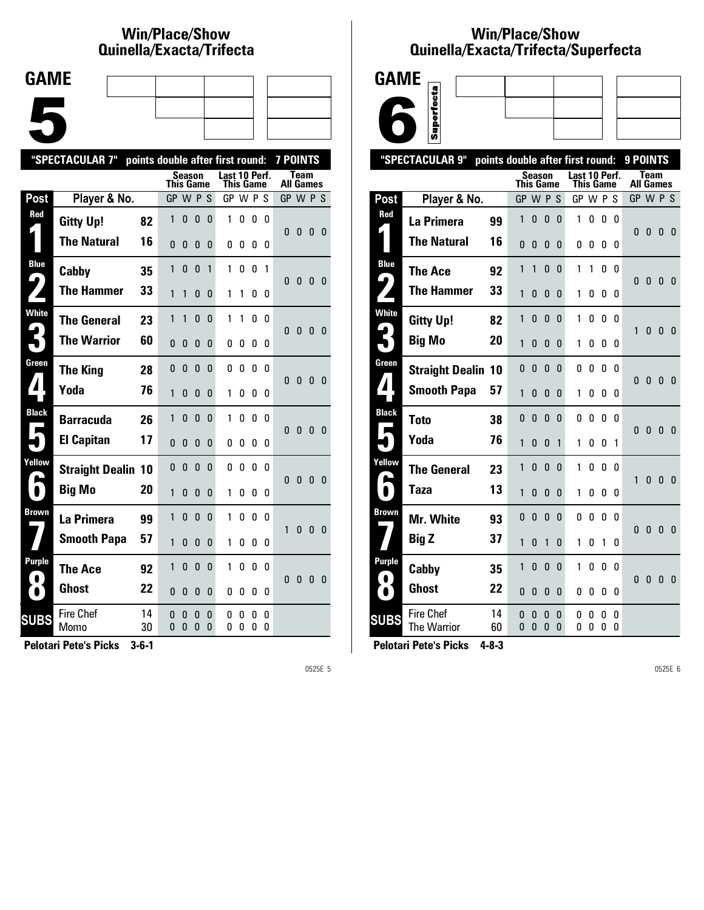# **Win/Place/Show Qui nel la/Exacta/Tri fecta**

| <b>GAME</b> |  |  |
|-------------|--|--|
|             |  |  |
|             |  |  |
|             |  |  |
|             |  |  |
|             |  |  |
|             |  |  |
|             |  |  |

|                                      | "SPECTACULAR 7"           |          |                  |              |               |          | points double after first round: |        |        |          | <b>7 POINTS</b>  |              |              |          |
|--------------------------------------|---------------------------|----------|------------------|--------------|---------------|----------|----------------------------------|--------|--------|----------|------------------|--------------|--------------|----------|
|                                      |                           |          | <b>This Game</b> |              | <b>Season</b> |          | Last 10 Perf.<br>This Game       |        |        |          | <b>All Games</b> | Team         |              |          |
| Post                                 | Player & No.              |          | GP W P           |              |               | S        | GP W P S                         |        |        |          | GP W P S         |              |              |          |
| Red                                  | <b>Gitty Up!</b>          | 82       | 1                | $\mathbf{0}$ | 0             | 0        | 1                                | 0      | 0      | 0        | 0                | 0            | 0            | 0        |
|                                      | <b>The Natural</b>        | 16       | 0                | 0            | 0             | 0        | 0                                | 0      | 0      | 0        |                  |              |              |          |
| <b>Blue</b><br>$\blacktriangleright$ | Cabby                     | 35       | 1                | $\mathbf{0}$ | 0             | 1        | 1                                | 0      | 0      | 1        | $\mathbf{0}$     | $\bf{0}$     | 0            | - 0      |
|                                      | <b>The Hammer</b>         | 33       | 1                | 1            | $\mathbf{0}$  | 0        | 1                                | 1      | 0      | 0        |                  |              |              |          |
| <b>White</b>                         | <b>The General</b>        | 23       | 1                | 1            | 0             | 0        | 1                                | 1      | 0      | 0        | 0                | $\mathbf{0}$ | 0            | - 0      |
|                                      | <b>The Warrior</b>        | 60       | 0                | $\Omega$     | $\mathbf{0}$  | 0        | 0                                | 0      | 0      | 0        |                  |              |              |          |
| Green                                | <b>The King</b>           | 28       | 0                | $\mathbf{0}$ | $\mathbf{0}$  | $\Omega$ | 0                                | 0      | 0      | $\Omega$ | 0                | $\mathbf{0}$ | $\mathbf{0}$ | 0        |
| $\blacktriangle$                     | Yoda                      | 76       | 1                | $\mathbf{0}$ | $\mathbf{0}$  | 0        | 1                                | 0      | 0      | 0        |                  |              |              |          |
| <b>Black</b>                         | <b>Barracuda</b>          | 26       | 1                | $\mathbf{0}$ | $\mathbf{0}$  | $\Omega$ | 1                                | 0      | 0      | 0        | $\mathbf{0}$     | $\mathbf{0}$ | $\mathbf{0}$ | 0        |
|                                      | <b>El Capitan</b>         | 17       | 0                | $\Omega$     | $\Omega$      | $\Omega$ | 0                                | 0      | 0      | 0        |                  |              |              |          |
| Yellow                               | <b>Straight Dealin 10</b> |          | 0                | $\mathbf{0}$ | $\mathbf{0}$  | $\Omega$ | 0                                | 0      | 0      | 0        | $\Omega$         | $\mathbf{0}$ | $\mathbf{0}$ | - 0      |
| $\bullet$                            | <b>Big Mo</b>             | 20       | 1                | $\mathbf{0}$ | $\mathbf{0}$  | 0        | 1                                | 0      | 0      | 0        |                  |              |              |          |
| <b>Brown</b>                         | La Primera                | 99       | 1                | $\mathbf{0}$ | $\mathbf{0}$  | $\Omega$ | 1                                | 0      | 0      | 0        | 1                | $\mathbf{0}$ | 0            | 0        |
|                                      | <b>Smooth Papa</b>        | 57       | 1                | $\mathbf{0}$ | $\mathbf{0}$  | 0        | 1                                | 0      | 0      | 0        |                  |              |              |          |
| Purple                               | <b>The Ace</b>            | 92       | 1                | 0            | 0             | $\Omega$ | 1                                | 0      | 0      | 0        | $\Omega$         | $\mathbf{0}$ | 0            | $\Omega$ |
| $\bullet$                            | <b>Ghost</b>              | 22       | 0                | 0            | 0             | 0        | 0                                | 0      | 0      | 0        |                  |              |              |          |
| <b>SUBS</b>                          | <b>Fire Chef</b><br>Momo  | 14<br>30 | 0<br>0           | 0<br>0       | 0<br>0        | 0<br>0   | 0<br>0                           | 0<br>0 | 0<br>0 | 0<br>0   |                  |              |              |          |
|                                      |                           |          |                  |              |               |          |                                  |        |        |          |                  |              |              |          |

**Pelotari Pete's Picks 3-6-1**

0525E 5

## **Win/Place/Show Qui nel la/Exacta/Tri fecta/Super fecta**



|                  | "SPECTACULAR 9"                        |          | points double after first round: |              |               |              |               |           |              |              | 9 POINTS     |                                 |                         |              |
|------------------|----------------------------------------|----------|----------------------------------|--------------|---------------|--------------|---------------|-----------|--------------|--------------|--------------|---------------------------------|-------------------------|--------------|
|                  |                                        |          | This Game                        |              | <b>Season</b> |              | Last 10 Perf. | This Game |              |              |              | <b>Team</b><br><b>All Games</b> |                         |              |
| Post             | Player & No.                           |          | GP W P S                         |              |               |              | GP W P S      |           |              |              | GP W P S     |                                 |                         |              |
| Red              | La Primera                             | 99       | 1                                | 0            | $\bf{0}$      | $\mathbf 0$  | 1             | 0         | 0            | 0            | 0            | $\bf{0}$                        | - 0                     |              |
|                  | <b>The Natural</b>                     | 16       | $\mathbf{0}$                     | 0            | $\mathbf{0}$  | $\bf{0}$     | 0             | 0         | 0            | 0            |              |                                 |                         | - 0          |
| <b>Blue</b>      | <b>The Ace</b>                         | 92       | 1                                | 1            | $\mathbf{0}$  | $\mathbf{0}$ | 1             | 1         | 0            | 0            |              |                                 |                         |              |
| 4                | <b>The Hammer</b>                      | 33       | 1                                | 0            | $\mathbf{0}$  | 0            | 1             | 0         | 0            | 0            | 0            | $\bf{0}$                        | 0                       | - 0          |
| <b>White</b>     | <b>Gitty Up!</b>                       | 82       | 1                                | $\mathbf{0}$ | $\mathbf{0}$  | $\mathbf{0}$ | 1             | 0         | $\mathbf{0}$ | $\Omega$     | $\mathbf{1}$ | $\mathbf{0}$                    | $\mathbf{0}$            | - 0          |
| 3                | <b>Big Mo</b>                          | 20       | 1                                | 0            | 0             | $\mathbf{0}$ | 1             | 0         | 0            | 0            |              |                                 |                         |              |
| Green            | <b>Straight Dealin 10</b>              |          | 0                                | 0            | $\mathbf{0}$  | 0            | 0             | 0         | 0            | 0            | $\mathbf{0}$ | $\pmb{0}$                       | $\mathbf{0}$            | $\mathbf{0}$ |
| $\boldsymbol{I}$ | <b>Smooth Papa</b>                     | 57       | 1                                | 0            | $\mathbf{0}$  | $\mathbf{0}$ | 1             | 0         | 0            | 0            |              |                                 |                         |              |
| <b>Black</b>     | <b>Toto</b>                            | 38       | 0                                | 0            | 0             | 0            | 0             | 0         | 0            | 0            | $\mathbf{0}$ | $\pmb{0}$                       | $\overline{\mathbf{0}}$ | $\mathbf{0}$ |
|                  | Yoda                                   | 76       | 1                                | 0            | $\mathbf{0}$  | 1            | 1             | 0         | 0            | 1            |              |                                 |                         |              |
| Yellow<br>e      | <b>The General</b>                     | 23       | 1                                | 0            | $\mathbf{0}$  | $\mathbf{0}$ | 1             | 0         | 0            | $\mathbf{0}$ | 1            | 0                               | 0                       | 0            |
|                  | Taza                                   | 13       | 1                                | 0            | $\bf{0}$      | 0            | 1             | 0         | 0            | 0            |              |                                 |                         |              |
| <b>Brown</b>     | Mr. White                              | 93       | $\Omega$                         | $\mathbf{0}$ | $\mathbf{0}$  | $\mathbf{0}$ | 0             | 0         | 0            | 0            | $\mathbf{0}$ | $\pmb{0}$                       | $\mathbf{0}$            | $\mathbf{0}$ |
|                  | Big Z                                  | 37       | 1                                | 0            | 1             | 0            | 1             | 0         | 1            | 0            |              |                                 |                         |              |
| Purple<br>. .    | Cabby                                  | 35       | 1                                | 0            | 0             | 0            | 1             | 0         | 0            | 0            | 0            | 0                               | 0                       | - 0          |
| $\bullet$        | <b>Ghost</b>                           | 22       | $\Omega$                         | 0            | $\mathbf{0}$  | 0            | 0             | 0         | 0            | 0            |              |                                 |                         |              |
| <b>SUBS</b>      | <b>Fire Chef</b><br><b>The Warrior</b> | 14<br>60 | 0<br>0                           | 0<br>0       | 0<br>$\Omega$ | 0<br>0       | 0<br>0        | 0<br>0    | 0<br>0       | 0<br>0       |              |                                 |                         |              |
|                  |                                        |          |                                  |              |               |              |               |           |              |              |              |                                 |                         |              |

**Pelotari Pete's Picks 4-8-3**